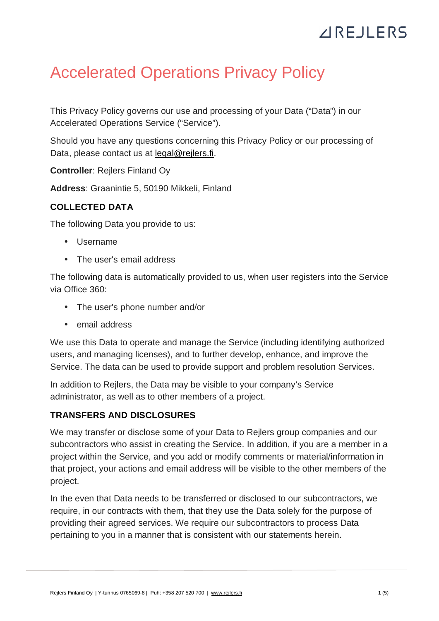# **ZIREJLERS**

## Accelerated Operations Privacy Policy

This Privacy Policy governs our use and processing of your Data ("Data") in our Accelerated Operations Service ("Service").

Should you have any questions concerning this Privacy Policy or our processing of Data, please contact us at legal@rejlers.fi.

**Controller**: Rejlers Finland Oy

**Address**: Graanintie 5, 50190 Mikkeli, Finland

## **COLLECTED DATA**

The following Data you provide to us:

- Username
- The user's email address

The following data is automatically provided to us, when user registers into the Service via Office 360:

- The user's phone number and/or
- email address

We use this Data to operate and manage the Service (including identifying authorized users, and managing licenses), and to further develop, enhance, and improve the Service. The data can be used to provide support and problem resolution Services.

In addition to Rejlers, the Data may be visible to your company's Service administrator, as well as to other members of a project.

## **TRANSFERS AND DISCLOSURES**

We may transfer or disclose some of your Data to Rejlers group companies and our subcontractors who assist in creating the Service. In addition, if you are a member in a project within the Service, and you add or modify comments or material/information in that project, your actions and email address will be visible to the other members of the project.

In the even that Data needs to be transferred or disclosed to our subcontractors, we require, in our contracts with them, that they use the Data solely for the purpose of providing their agreed services. We require our subcontractors to process Data pertaining to you in a manner that is consistent with our statements herein.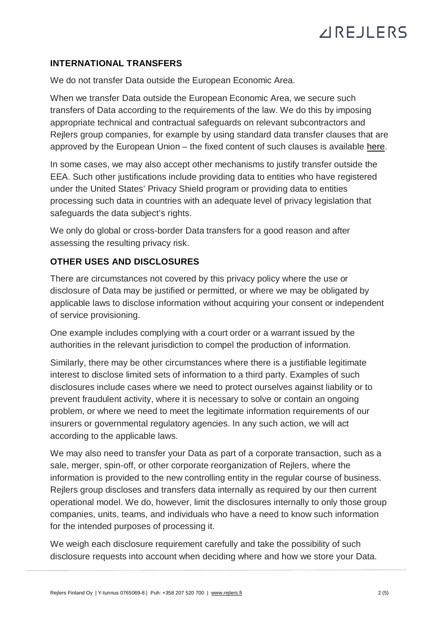# **VIRE JI ERS**

## **INTERNATIONAL TRANSFERS**

We do not transfer Data outside the European Economic Area.

When we transfer Data outside the European Economic Area, we secure such transfers of Data according to the requirements of the law. We do this by imposing appropriate technical and contractual safeguards on relevant subcontractors and Rejlers group companies, for example by using standard data transfer clauses that are approved by the European Union – the fixed content of such clauses is available here.

In some cases, we may also accept other mechanisms to justify transfer outside the EEA. Such other justifications include providing data to entities who have registered under the United States' Privacy Shield program or providing data to entities processing such data in countries with an adequate level of privacy legislation that safeguards the data subject's rights.

We only do global or cross-border Data transfers for a good reason and after assessing the resulting privacy risk.

## **OTHER USES AND DISCLOSURES**

There are circumstances not covered by this privacy policy where the use or disclosure of Data may be justified or permitted, or where we may be obligated by applicable laws to disclose information without acquiring your consent or independent of service provisioning.

One example includes complying with a court order or a warrant issued by the authorities in the relevant jurisdiction to compel the production of information.

Similarly, there may be other circumstances where there is a justifiable legitimate interest to disclose limited sets of information to a third party. Examples of such disclosures include cases where we need to protect ourselves against liability or to prevent fraudulent activity, where it is necessary to solve or contain an ongoing problem, or where we need to meet the legitimate information requirements of our insurers or governmental regulatory agencies. In any such action, we will act according to the applicable laws.

We may also need to transfer your Data as part of a corporate transaction, such as a sale, merger, spin-off, or other corporate reorganization of Rejlers, where the information is provided to the new controlling entity in the regular course of business. Rejlers group discloses and transfers data internally as required by our then current operational model. We do, however, limit the disclosures internally to only those group companies, units, teams, and individuals who have a need to know such information for the intended purposes of processing it.

We weigh each disclosure requirement carefully and take the possibility of such disclosure requests into account when deciding where and how we store your Data.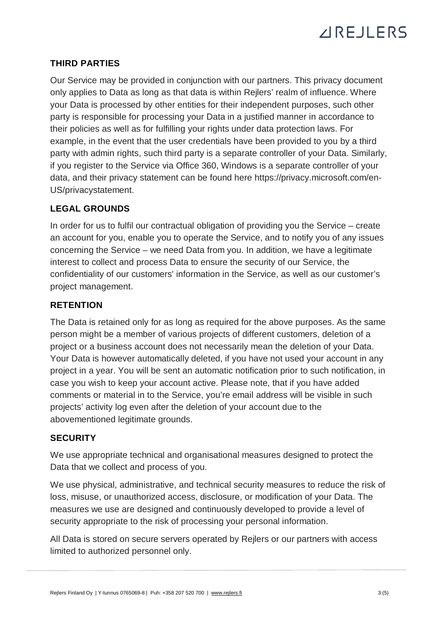

### **THIRD PARTIES**

Our Service may be provided in conjunction with our partners. This privacy document only applies to Data as long as that data is within Rejlers' realm of influence. Where your Data is processed by other entities for their independent purposes, such other party is responsible for processing your Data in a justified manner in accordance to their policies as well as for fulfilling your rights under data protection laws. For example, in the event that the user credentials have been provided to you by a third party with admin rights, such third party is a separate controller of your Data. Similarly, if you register to the Service via Office 360, Windows is a separate controller of your data, and their privacy statement can be found here https://privacy.microsoft.com/en-US/privacystatement.

#### **LEGAL GROUNDS**

In order for us to fulfil our contractual obligation of providing you the Service – create an account for you, enable you to operate the Service, and to notify you of any issues concerning the Service – we need Data from you. In addition, we have a legitimate interest to collect and process Data to ensure the security of our Service, the confidentiality of our customers' information in the Service, as well as our customer's project management.

#### **RETENTION**

The Data is retained only for as long as required for the above purposes. As the same person might be a member of various projects of different customers, deletion of a project or a business account does not necessarily mean the deletion of your Data. Your Data is however automatically deleted, if you have not used your account in any project in a year. You will be sent an automatic notification prior to such notification, in case you wish to keep your account active. Please note, that if you have added comments or material in to the Service, you're email address will be visible in such projects' activity log even after the deletion of your account due to the abovementioned legitimate grounds.

#### **SECURITY**

We use appropriate technical and organisational measures designed to protect the Data that we collect and process of you.

We use physical, administrative, and technical security measures to reduce the risk of loss, misuse, or unauthorized access, disclosure, or modification of your Data. The measures we use are designed and continuously developed to provide a level of security appropriate to the risk of processing your personal information.

All Data is stored on secure servers operated by Rejlers or our partners with access limited to authorized personnel only.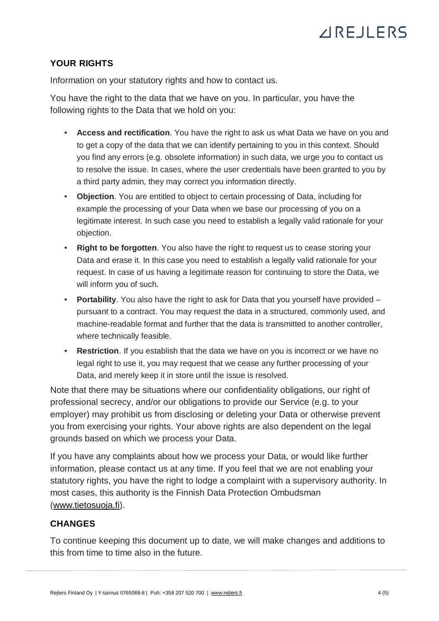## **VIRE JI ERS**

## **YOUR RIGHTS**

Information on your statutory rights and how to contact us.

You have the right to the data that we have on you. In particular, you have the following rights to the Data that we hold on you:

- **Access and rectification**. You have the right to ask us what Data we have on you and to get a copy of the data that we can identify pertaining to you in this context. Should you find any errors (e.g. obsolete information) in such data, we urge you to contact us to resolve the issue. In cases, where the user credentials have been granted to you by a third party admin, they may correct you information directly.
- **Objection**. You are entitled to object to certain processing of Data, including for example the processing of your Data when we base our processing of you on a legitimate interest. In such case you need to establish a legally valid rationale for your objection.
- **Right to be forgotten**. You also have the right to request us to cease storing your Data and erase it. In this case you need to establish a legally valid rationale for your request. In case of us having a legitimate reason for continuing to store the Data, we will inform you of such.
- **Portability**. You also have the right to ask for Data that you yourself have provided pursuant to a contract. You may request the data in a structured, commonly used, and machine-readable format and further that the data is transmitted to another controller, where technically feasible.
- **Restriction**. If you establish that the data we have on you is incorrect or we have no legal right to use it, you may request that we cease any further processing of your Data, and merely keep it in store until the issue is resolved.

Note that there may be situations where our confidentiality obligations, our right of professional secrecy, and/or our obligations to provide our Service (e.g. to your employer) may prohibit us from disclosing or deleting your Data or otherwise prevent you from exercising your rights. Your above rights are also dependent on the legal grounds based on which we process your Data.

If you have any complaints about how we process your Data, or would like further information, please contact us at any time. If you feel that we are not enabling your statutory rights, you have the right to lodge a complaint with a supervisory authority. In most cases, this authority is the Finnish Data Protection Ombudsman (www.tietosuoja.fi).

## **CHANGES**

To continue keeping this document up to date, we will make changes and additions to this from time to time also in the future.